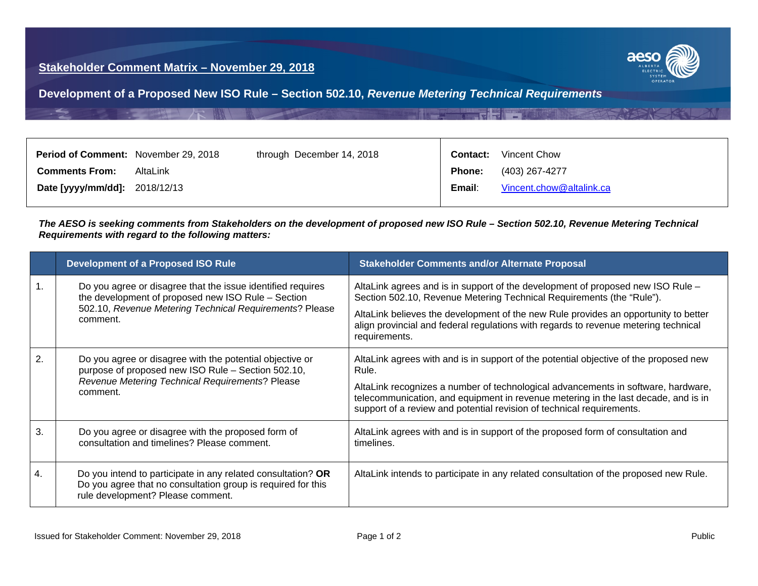## **Stakeholder Comment Matrix – November 29, 2018**



**Development of a Proposed New ISO Rule – Section 502.10,** *Revenue Metering Technical Requirements*

| <b>Period of Comment:</b> November 29, 2018 |          | through December 14, 2018 |               | <b>Contact:</b> Vincent Chow |
|---------------------------------------------|----------|---------------------------|---------------|------------------------------|
| <b>Comments From:</b>                       | AltaLink |                           | <b>Phone:</b> | (403) 267-4277               |
| Date [yyyy/mm/dd]: 2018/12/13               |          |                           | Email:        | Vincent.chow@altalink.ca     |

*The AESO is seeking comments from Stakeholders on the development of proposed new ISO Rule – Section 502.10, Revenue Metering Technical Requirements with regard to the following matters:*

|                  | <b>Development of a Proposed ISO Rule</b>                                                                                                                                                | <b>Stakeholder Comments and/or Alternate Proposal</b>                                                                                                                                                                                                                                                                                                   |
|------------------|------------------------------------------------------------------------------------------------------------------------------------------------------------------------------------------|---------------------------------------------------------------------------------------------------------------------------------------------------------------------------------------------------------------------------------------------------------------------------------------------------------------------------------------------------------|
|                  | Do you agree or disagree that the issue identified requires<br>the development of proposed new ISO Rule - Section<br>502.10, Revenue Metering Technical Requirements? Please<br>comment. | AltaLink agrees and is in support of the development of proposed new ISO Rule -<br>Section 502.10, Revenue Metering Technical Requirements (the "Rule").<br>AltaLink believes the development of the new Rule provides an opportunity to better<br>align provincial and federal regulations with regards to revenue metering technical<br>requirements. |
| $\overline{2}$ . | Do you agree or disagree with the potential objective or<br>purpose of proposed new ISO Rule - Section 502.10,<br>Revenue Metering Technical Requirements? Please<br>comment.            | AltaLink agrees with and is in support of the potential objective of the proposed new<br>Rule.<br>AltaLink recognizes a number of technological advancements in software, hardware,<br>telecommunication, and equipment in revenue metering in the last decade, and is in<br>support of a review and potential revision of technical requirements.      |
| 3.               | Do you agree or disagree with the proposed form of<br>consultation and timelines? Please comment.                                                                                        | AltaLink agrees with and is in support of the proposed form of consultation and<br>timelines.                                                                                                                                                                                                                                                           |
| 4.               | Do you intend to participate in any related consultation? OR<br>Do you agree that no consultation group is required for this<br>rule development? Please comment.                        | AltaLink intends to participate in any related consultation of the proposed new Rule.                                                                                                                                                                                                                                                                   |